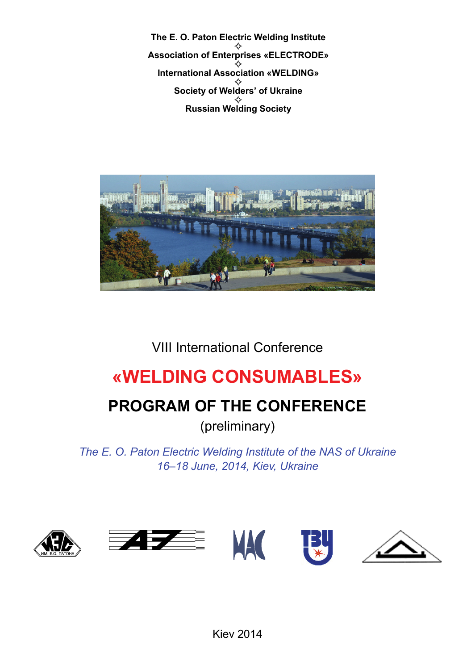**The E. O. Paton Electric Welding Institute** \* **Association of Enterprises «ELECTRODE»** \* **International Association «WELDING»** \* **Society of Welders' of Ukraine** \* **Russian Welding Society**



VIII International Conference

# **«WELDING CONSUMABLES»**

# **PROGRAM OF THE CONFERENCE**

(preliminary)

*The E. O. Paton Electric Welding Institute of the NAS of Ukraine 16–18 June, 2014, Kiev, Ukraine*



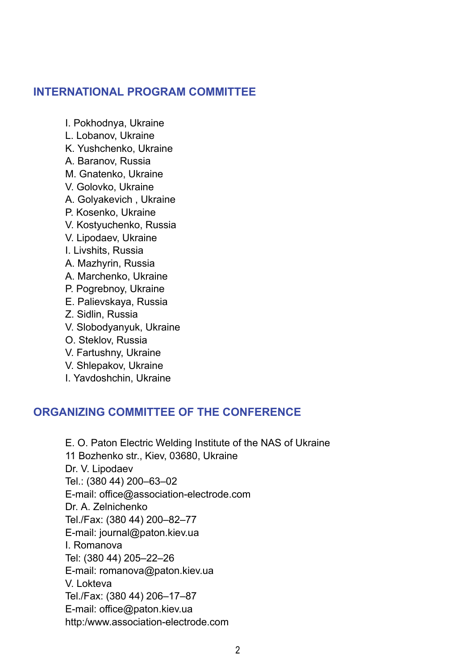#### **INTERNATIONAL PROGRAM COMMITTEE**

I. Pokhodnya, Ukraine

- L. Lobanov, Ukraine
- K. Yushchenko, Ukraine
- A. Baranov, Russia
- M. Gnatenko, Ukraine
- V. Golovko, Ukraine
- A. Golyakevich , Ukraine
- P. Kosenko, Ukraine
- V. Kostyuchenko, Russia
- V. Lipodaev, Ukraine
- I. Livshits, Russia
- A. Mazhyrin, Russia
- A. Marchenko, Ukraine
- P. Pogrebnoy, Ukraine
- E. Palievskaya, Russia
- Z. Sidlin, Russia
- V. Slobodyanyuk, Ukraine
- O. Steklov, Russia
- V. Fartushny, Ukraine
- V. Shlepakov, Ukraine
- I. Yavdoshchin, Ukraine

#### **ORGANIZING COMMITTEE OF THE CONFERENCE**

E. O. Paton Electric Welding Institute of the NAS of Ukraine 11 Bozhenko str., Kiev, 03680, Ukraine Dr. V. Lipodaev Tel.: (380 44) 200–63–02 E-mail: office@association-electrode.com Dr. A. Zelnichenko Tel./Fax: (380 44) 200–82–77 E-mail: journal@paton.kiev.ua I. Romanova Tel: (380 44) 205–22–26 E-mail: romanova@paton.kiev.ua V. Lokteva Tel./Fax: (380 44) 206–17–87 E-mail: office@paton.kiev.ua http:/www.association-electrode.com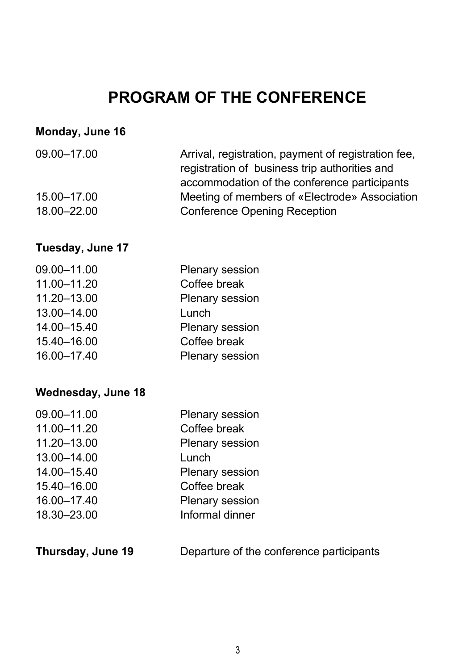# **PROGRAM OF THE CONFERENCE**

#### **Monday, June 16**

| 09.00-17.00 |
|-------------|
|-------------|

15.00–17.00 18.00–22.00 Arrival, registration, payment of registration fee, registration of business trip authorities and accommodation of the conference participants Meeting of members of «Electrode» Association Conference Opening Reception

#### **Tuesday, June 17**

| 09.00-11.00 | Plenary session |
|-------------|-----------------|
| 11.00-11.20 | Coffee break    |
| 11.20-13.00 | Plenary session |
| 13.00-14.00 | Lunch           |
| 14.00-15.40 | Plenary session |
| 15.40-16.00 | Coffee break    |
| 16.00-17.40 | Plenary session |
|             |                 |

#### **Wednesday, June 18**

| 09.00-11.00 | Plenary session |
|-------------|-----------------|
| 11.00-11.20 | Coffee break    |
| 11.20-13.00 | Plenary session |
| 13.00-14.00 | Lunch           |
| 14.00-15.40 | Plenary session |
| 15.40-16.00 | Coffee break    |
| 16.00-17.40 | Plenary session |
| 18.30-23.00 | Informal dinner |
|             |                 |

| Thursday, June 19 | Departure of the conference participants |  |
|-------------------|------------------------------------------|--|
|-------------------|------------------------------------------|--|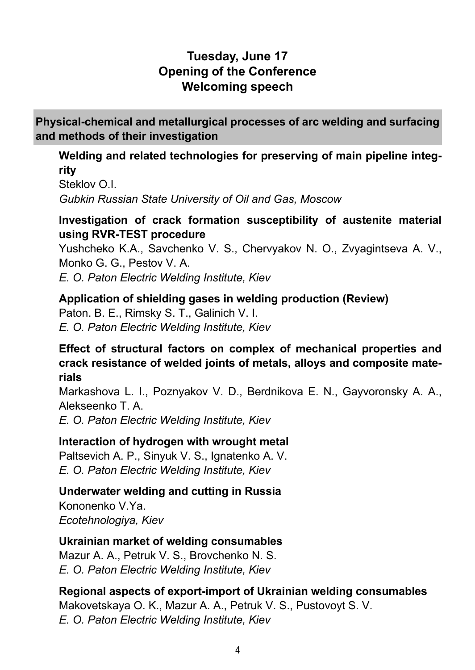## **Tuesday, June 17 Opening of the Conference Welcoming speech**

**Physical-chemical and metallurgical processes of arc welding and surfacing and methods of their investigation**

#### **Welding and related technologies for preserving of main pipeline integrity**

Steklov O.I. *Gubkin Russian State University of Oil and Gas, Moscow*

## **Investigation of crack formation susceptibility of austenite material using RVR-TEST procedure**

Yushcheko K.A., Savchenko V. S., Chervyakov N. O., Zvyagintseva A. V., Monko G. G., Pestov V. A.

*E. O. Paton Electric Welding Institute, Kiev*

## **Application of shielding gases in welding production (Review)**

Paton. B. E., Rimsky S. T., Galinich V. I. *E. O. Paton Electric Welding Institute, Kiev*

## **Effect of structural factors on complex of mechanical properties and crack resistance of welded joints of metals, alloys and composite materials**

Markashova L. I., Poznyakov V. D., Berdnikova E. N., Gayvoronsky A. A., Alekseenko T. A.

*E. O. Paton Electric Welding Institute, Kiev*

## **Interaction of hydrogen with wrought metal**

Paltsevich A. P., Sinyuk V. S., Ignatenko A. V. *E. O. Paton Electric Welding Institute, Kiev*

## **Underwater welding and cutting in Russia**

Kononenko V.Ya. *Ecotehnologiya, Kiev*

## **Ukrainian market of welding consumables**

Mazur A. A., Petruk V. S., Brovchenko N. S. *E. O. Paton Electric Welding Institute, Kiev*

# **Regional aspects of export-import of Ukrainian welding consumables**

Makovetskaya O. K., Mazur A. A., Petruk V. S., Pustovoyt S. V. *E. O. Paton Electric Welding Institute, Kiev*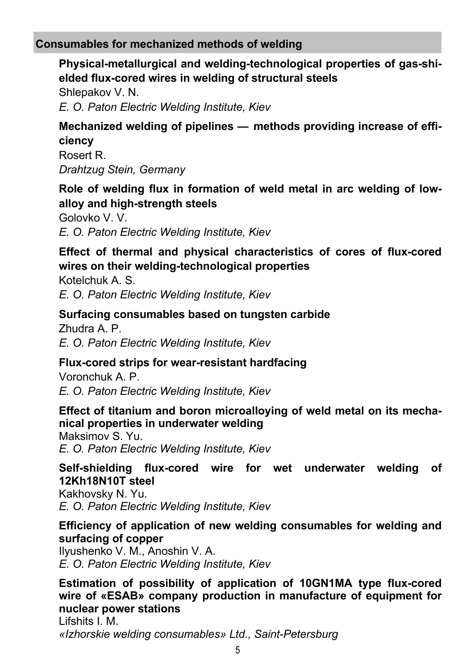## **Consumables for mechanized methods of welding**

## **Physical-metallurgical and welding-technological properties of gas-shielded flux-cored wires in welding of structural steels**

Shlepakov V. N. *E. O. Paton Electric Welding Institute, Kiev*

## **Mechanized welding of pipelines — methods providing increase of efficiency**

Rosert R. *Drahtzug Stein, Germany*

## **Role of welding flux in formation of weld metal in arc welding of lowalloy and high-strength steels**

Golovko V. V. *E. O. Paton Electric Welding Institute, Kiev*

## **Effect of thermal and physical characteristics of cores of flux-cored wires on their welding-technological properties**

Kotelchuk A. S. *E. O. Paton Electric Welding Institute, Kiev*

#### **Surfacing consumables based on tungsten carbide**

Zhudra A. P. *E. O. Paton Electric Welding Institute, Kiev*

### **Flux-cored strips for wear-resistant hardfacing**

Voronchuk A. P. *E. O. Paton Electric Welding Institute, Kiev*

#### **Effect of titanium and boron microalloying of weld metal on its mechanical properties in underwater welding**

Maksimov S. Yu. *E. O. Paton Electric Welding Institute, Kiev*

#### **Self-shielding flux-cored wire for wet underwater welding of 12Kh18N10T steel**

Kakhovsky N. Yu. *E. O. Paton Electric Welding Institute, Kiev*

#### **Efficiency of application of new welding consumables for welding and surfacing of copper**

Ilyushenko V. M., Anoshin V. A. *E. O. Paton Electric Welding Institute, Kiev*

## **Estimation of possibility of application of 10GN1MA type flux-cored wire of «ESAB» company production in manufacture of equipment for nuclear power stations**

Lifshits I. M. *«Izhorskie welding consumables» Ltd., Saint-Petersburg*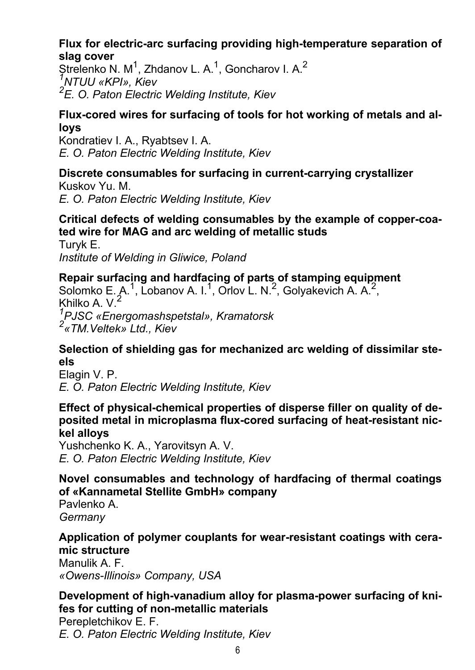#### **Flux for electric-arc surfacing providing high-temperature separation of slag cover**

Strelenko N. M<sup>1</sup>, Zhdanov L. A.<sup>1</sup>, Goncharov I. A.<sup>2</sup><br><sup>1</sup>NTLILL «KRL», Kjev *NTUU «KPI», Kiev 2 E. O. Paton Electric Welding Institute, Kiev*

#### **Flux-cored wires for surfacing of tools for hot working of metals and alloys**

Kondratiev I. A., Ryabtsev I. A. *E. O. Paton Electric Welding Institute, Kiev*

#### **Discrete consumables for surfacing in current-carrying crystallizer** Kuskov Yu. M.

*E. O. Paton Electric Welding Institute, Kiev*

### **Critical defects of welding consumables by the example of copper-coated wire for MAG and arc welding of metallic studs**

Turyk E. *Institute of Welding in Gliwice, Poland*

#### **Repair surfacing and hardfacing of parts of stamping equipment** Solomko E. A.<sup>1</sup>, Lobanov A. I.<sup>1</sup>, Orlov L. N.<sup>2</sup>, Golyakevich A. A.<sup>2</sup>,

Khilko A. V.<sup>2</sup> *1 PJSC «Energomashspetstal», Kramatorsk 2 «TM.Veltek» Ltd., Kiev*

## **Selection of shielding gas for mechanized arc welding of dissimilar steels**

Elagin V. P. *E. O. Paton Electric Welding Institute, Kiev*

#### **Effect of physical-chemical properties of disperse filler on quality of deposited metal in microplasma flux-cored surfacing of heat-resistant nickel alloys**

Yushchenko K. A., Yarovitsyn A. V. *E. O. Paton Electric Welding Institute, Kiev*

## **Novel consumables and technology of hardfacing of thermal coatings of «Kannametal Stellite GmbH» company**

Pavlenko A. *Germany*

#### **Application of polymer couplants for wear-resistant coatings with ceramic structure**

Manulik A. F. *«Owens-Illinois» Company, USA*

## **Development of high-vanadium alloy for plasma-power surfacing of knifes for cutting of non-metallic materials**

Perepletchikov E. F. *E. O. Paton Electric Welding Institute, Kiev*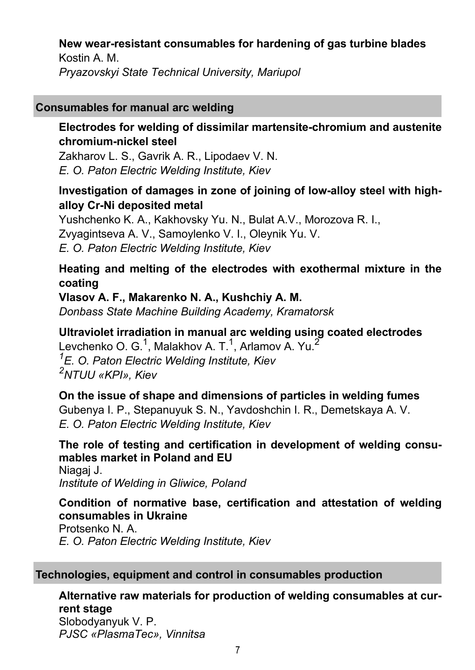# **New wear-resistant consumables for hardening of gas turbine blades** Kostin A. M.

*Pryazovskyi State Technical University, Mariupol*

## **Consumables for manual arc welding**

## **Electrodes for welding of dissimilar martensite-chromium and austenite chromium-nickel steel**

Zakharov L. S., Gavrik A. R., Lipodaev V. N. *E. O. Paton Electric Welding Institute, Kiev*

## **Investigation of damages in zone of joining of low-alloy steel with highalloy Cr-Ni deposited metal**

Yushchenko K. A., Kakhovsky Yu. N., Bulat A.V., Morozova R. I., Zvyagintseva A. V., Samoylenko V. I., Oleynik Yu. V. *E. O. Paton Electric Welding Institute, Kiev*

## **Heating and melting of the electrodes with exothermal mixture in the coating**

**Vlasov A. F., Makarenko N. A., Kushchiy A. M.** *Donbass State Machine Building Academy, Kramatorsk*

**Ultraviolet irradiation in manual arc welding using coated electrodes** Levchenko O. G.<sup>1</sup>, Malakhov A. T.<sup>1</sup>, Arlamov A. Yu.<sup>2</sup> *1 E. O. Paton Electric Welding Institute, Kiev 2 NTUU «KPI», Kiev*

**On the issue of shape and dimensions of particles in welding fumes** Gubenya I. P., Stepanuyuk S. N., Yavdoshchin I. R., Demetskaya A. V. *E. O. Paton Electric Welding Institute, Kiev*

**The role of testing and certification in development of welding consumables market in Poland and EU** Niagaj J. *Institute of Welding in Gliwice, Poland*

## **Condition of normative base, certification and attestation of welding consumables in Ukraine**

Protsenko N. A. *E. O. Paton Electric Welding Institute, Kiev*

### **Technologies, equipment and control in consumables production**

**Alternative raw materials for production of welding consumables at current stage** Slobodyanyuk V. P. *PJSC «PlasmaTec», Vinnitsa*